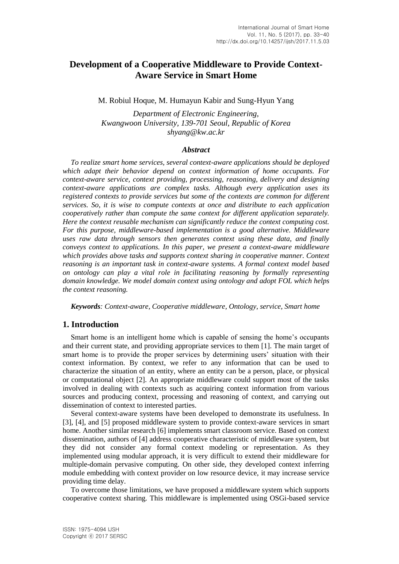# **Development of a Cooperative Middleware to Provide Context-Aware Service in Smart Home**

M. Robiul Hoque, M. Humayun Kabir and Sung-Hyun Yang

*Department of Electronic Engineering, Kwangwoon University, 139-701 Seoul, Republic of Korea shyang@kw.ac.kr*

#### *Abstract*

*To realize smart home services, several context-aware applications should be deployed which adapt their behavior depend on context information of home occupants. For context-aware service, context providing, processing, reasoning, delivery and designing context-aware applications are complex tasks. Although every application uses its registered contexts to provide services but some of the contexts are common for different services. So, it is wise to compute contexts at once and distribute to each application cooperatively rather than compute the same context for different application separately. Here the context reusable mechanism can significantly reduce the context computing cost. For this purpose, middleware-based implementation is a good alternative. Middleware uses raw data through sensors then generates context using these data, and finally conveys context to applications. In this paper, we present a context-aware middleware which provides above tasks and supports context sharing in cooperative manner. Context reasoning is an important task in context-aware systems. A formal context model based on ontology can play a vital role in facilitating reasoning by formally representing domain knowledge. We model domain context using ontology and adopt FOL which helps the context reasoning.*

*Keywords: Context-aware, Cooperative middleware, Ontology, service, Smart home*

## **1. Introduction**

Smart home is an intelligent home which is capable of sensing the home's occupants and their current state, and providing appropriate services to them [1]. The main target of smart home is to provide the proper services by determining users' situation with their context information. By context, we refer to any information that can be used to characterize the situation of an entity, where an entity can be a person, place, or physical or computational object [2]. An appropriate middleware could support most of the tasks involved in dealing with contexts such as acquiring context information from various sources and producing context, processing and reasoning of context, and carrying out dissemination of context to interested parties.

Several context-aware systems have been developed to demonstrate its usefulness. In [3], [4], and [5] proposed middleware system to provide context-aware services in smart home. Another similar research [6] implements smart classroom service. Based on context dissemination, authors of [4] address cooperative characteristic of middleware system, but they did not consider any formal context modeling or representation. As they implemented using modular approach, it is very difficult to extend their middleware for multiple-domain pervasive computing. On other side, they developed context inferring module embedding with context provider on low resource device, it may increase service providing time delay.

To overcome those limitations, we have proposed a middleware system which supports cooperative context sharing. This middleware is implemented using OSGi-based service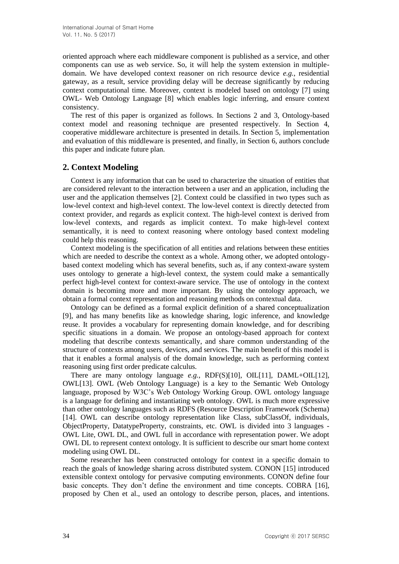oriented approach where each middleware component is published as a service, and other components can use as web service. So, it will help the system extension in multipledomain. We have developed context reasoner on rich resource device *e.g.*, residential gateway, as a result, service providing delay will be decrease significantly by reducing context computational time. Moreover, context is modeled based on ontology [7] using OWL- Web Ontology Language [8] which enables logic inferring, and ensure context consistency.

The rest of this paper is organized as follows. In Sections 2 and 3, Ontology-based context model and reasoning technique are presented respectively. In Section 4, cooperative middleware architecture is presented in details. In Section 5, implementation and evaluation of this middleware is presented, and finally, in Section 6, authors conclude this paper and indicate future plan.

# **2. Context Modeling**

Context is any information that can be used to characterize the situation of entities that are considered relevant to the interaction between a user and an application, including the user and the application themselves [2]. Context could be classified in two types such as low-level context and high-level context. The low-level context is directly detected from context provider, and regards as explicit context. The high-level context is derived from low-level contexts, and regards as implicit context. To make high-level context semantically, it is need to context reasoning where ontology based context modeling could help this reasoning.

Context modeling is the specification of all entities and relations between these entities which are needed to describe the context as a whole. Among other, we adopted ontologybased context modeling which has several benefits, such as, if any context-aware system uses ontology to generate a high-level context, the system could make a semantically perfect high-level context for context-aware service. The use of ontology in the context domain is becoming more and more important. By using the ontology approach, we obtain a formal context representation and reasoning methods on contextual data.

Ontology can be defined as a formal explicit definition of a shared conceptualization [9], and has many benefits like as knowledge sharing, logic inference, and knowledge reuse. It provides a vocabulary for representing domain knowledge, and for describing specific situations in a domain. We propose an ontology-based approach for context modeling that describe contexts semantically, and share common understanding of the structure of contexts among users, devices, and services. The main benefit of this model is that it enables a formal analysis of the domain knowledge, such as performing context reasoning using first order predicate calculus.

There are many ontology language *e.g.*, RDF(S)[10], OIL[11], DAML+OIL[12], OWL[13]. OWL (Web Ontology Language) is a key to the Semantic Web Ontology language, proposed by W3C's Web Ontology Working Group. OWL ontology language is a language for defining and instantiating web ontology. OWL is much more expressive than other ontology languages such as RDFS (Resource Description Framework (Schema) [14]. OWL can describe ontology representation like Class, subClassOf, individuals, ObjectProperty, DatatypeProperty, constraints, etc. OWL is divided into 3 languages - OWL Lite, OWL DL, and OWL full in accordance with representation power. We adopt OWL DL to represent context ontology. It is sufficient to describe our smart home context modeling using OWL DL.

Some researcher has been constructed ontology for context in a specific domain to reach the goals of knowledge sharing across distributed system. CONON [15] introduced extensible context ontology for pervasive computing environments. CONON define four basic concepts. They don't define the environment and time concepts. COBRA [16], proposed by Chen et al., used an ontology to describe person, places, and intentions.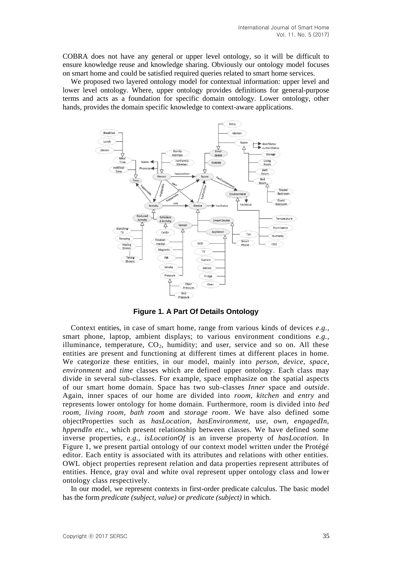COBRA does not have any general or upper level ontology, so it will be difficult to ensure knowledge reuse and knowledge sharing. Obviously our ontology model focuses on smart home and could be satisfied required queries related to smart home services.

We proposed two layered ontology model for contextual information: upper level and lower level ontology. Where, upper ontology provides definitions for general-purpose terms and acts as a foundation for specific domain ontology. Lower ontology, other hands, provides the domain specific knowledge to context-aware applications.



**Figure 1. A Part Of Details Ontology**

Context entities, in case of smart home, range from various kinds of devices *e.g.*, smart phone, laptop, ambient displays; to various environment conditions *e.g.*, illuminance, temperature,  $CO<sub>2</sub>$ , humidity; and user, service and so on. All these entities are present and functioning at different times at different places in home. We categorize these entities, in our model, mainly into *person*, *device*, *space*, *environment* and *time* classes which are defined upper ontology. Each class may divide in several sub-classes. For example, space emphasize on the spatial aspects of our smart home domain. Space has two sub-classes *Inner* space and *outside*. Again, inner spaces of our home are divided into *room*, *kitchen* and *entry* and represents lower ontology for home domain. Furthermore, room is divided into *bed room*, *living room*, *bath room* and *storage room*. We have also defined some objectProperties such as *hasLocation, hasEnvironment, use, own, engagedIn, hppendIn etc.*, which present relationship between classes. We have defined some inverse properties, *e.g.*, *isLocationOf* is an inverse property of *hasLocation*. In Figure 1, we present partial ontology of our context model written under the Protégé editor. Each entity is associated with its attributes and relations with other entities. OWL object properties represent relation and data properties represent attributes of entities. Hence, gray oval and white oval represent upper ontology class and lower ontology class respectively.

In our model, we represent contexts in first-order predicate calculus. The basic model has the form *predicate (subject, value)* or *predicate (subject)* in which.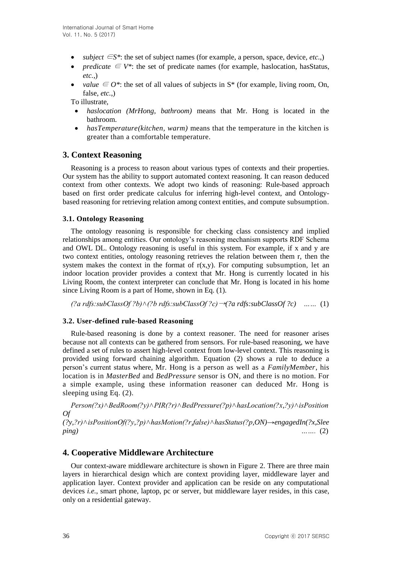- *subject*  $\in S^*$ : the set of subject names (for example, a person, space, device, *etc.*,)
- *predicate*  $\in V^*$ : the set of predicate names (for example, has location, has Status, *etc.*,)
- value  $\in O^*$ : the set of all values of subjects in S<sup>\*</sup> (for example, living room, On, false, *etc.*,)

To illustrate,

- *haslocation (MrHong, bathroom)* means that Mr. Hong is located in the bathroom.
- *hasTemperature(kitchen, warm)* means that the temperature in the kitchen is greater than a comfortable temperature.

# **3. Context Reasoning**

Reasoning is a process to reason about various types of contexts and their properties. Our system has the ability to support automated context reasoning. It can reason deduced context from other contexts. We adopt two kinds of reasoning: Rule-based approach based on first order predicate calculus for inferring high-level context, and Ontologybased reasoning for retrieving relation among context entities, and compute subsumption.

### **3.1. Ontology Reasoning**

The ontology reasoning is responsible for checking class consistency and implied relationships among entities. Our ontology's reasoning mechanism supports RDF Schema and OWL DL. Ontology reasoning is useful in this system. For example, if x and y are two context entities, ontology reasoning retrieves the relation between them r, then the system makes the context in the format of  $r(x,y)$ . For computing subsumption, let an indoor location provider provides a context that Mr. Hong is currently located in his Living Room, the context interpreter can conclude that Mr. Hong is located in his home since Living Room is a part of Home, shown in Eq. (1).

 $($ 2a rdfs:subClassOf ?b) $\land$ (?b rdfs:subClassOf ?c)  $\rightarrow$  (?a rdfs:subClassOf ?c) …… (1)

### **3.2. User-defined rule-based Reasoning**

Rule-based reasoning is done by a context reasoner. The need for reasoner arises because not all contexts can be gathered from sensors. For rule-based reasoning, we have defined a set of rules to assert high-level context from low-level context. This reasoning is provided using forward chaining algorithm. Equation (2) shows a rule to deduce a person's current status where, Mr. Hong is a person as well as a *FamilyMember*, his location is in *MasterBed* and *BedPressure* sensor is ON, and there is no motion. For a simple example, using these information reasoner can deduced Mr. Hong is sleeping using Eq. (2).

*Person(?x)∧BedRoom(?y)∧PIR(?r)∧BedPressure(?p)∧hasLocation(?x,?y)∧isPosition Of* 

*(?y,?r)˄isPositionOf(?y,?p)˄hasMotion(?r,false)˄hasStatus(?p,ON)→engagedIn(?x,Slee ping) …….* (2)

### **4. Cooperative Middleware Architecture**

Our context-aware middleware architecture is shown in Figure 2. There are three main layers in hierarchical design which are context providing layer, middleware layer and application layer. Context provider and application can be reside on any computational devices *i.e.*, smart phone, laptop, pc or server, but middleware layer resides, in this case, only on a residential gateway.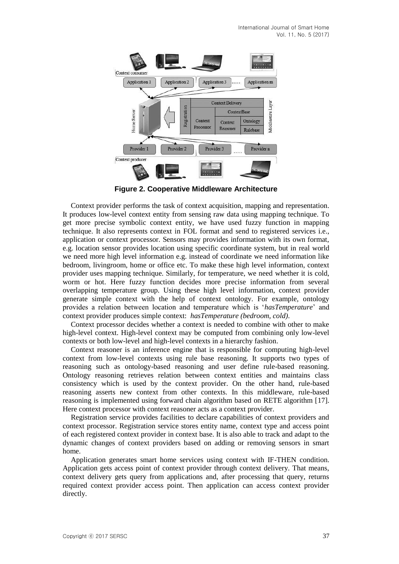

**Figure 2. Cooperative Middleware Architecture**

Context provider performs the task of context acquisition, mapping and representation. It produces low-level context entity from sensing raw data using mapping technique. To get more precise symbolic context entity, we have used fuzzy function in mapping technique. It also represents context in FOL format and send to registered services i.e., application or context processor. Sensors may provides information with its own format, e.g. location sensor provides location using specific coordinate system, but in real world we need more high level information e.g. instead of coordinate we need information like bedroom, livingroom, home or office etc. To make these high level information, context provider uses mapping technique. Similarly, for temperature, we need whether it is cold, worm or hot. Here fuzzy function decides more precise information from several overlapping temperature group. Using these high level information, context provider generate simple context with the help of context ontology. For example, ontology provides a relation between location and temperature which is '*hasTemperature*' and context provider produces simple context: *hasTemperature (bedroom, cold)*.

Context processor decides whether a context is needed to combine with other to make high-level context. High-level context may be computed from combining only low-level contexts or both low-level and high-level contexts in a hierarchy fashion.

Context reasoner is an inference engine that is responsible for computing high-level context from low-level contexts using rule base reasoning. It supports two types of reasoning such as ontology-based reasoning and user define rule-based reasoning. Ontology reasoning retrieves relation between context entities and maintains class consistency which is used by the context provider. On the other hand, rule-based reasoning asserts new context from other contexts. In this middleware, rule-based reasoning is implemented using forward chain algorithm based on RETE algorithm [17]. Here context processor with context reasoner acts as a context provider.

Registration service provides facilities to declare capabilities of context providers and context processor. Registration service stores entity name, context type and access point of each registered context provider in context base. It is also able to track and adapt to the dynamic changes of context providers based on adding or removing sensors in smart home.

Application generates smart home services using context with IF-THEN condition. Application gets access point of context provider through context delivery. That means, context delivery gets query from applications and, after processing that query, returns required context provider access point. Then application can access context provider directly.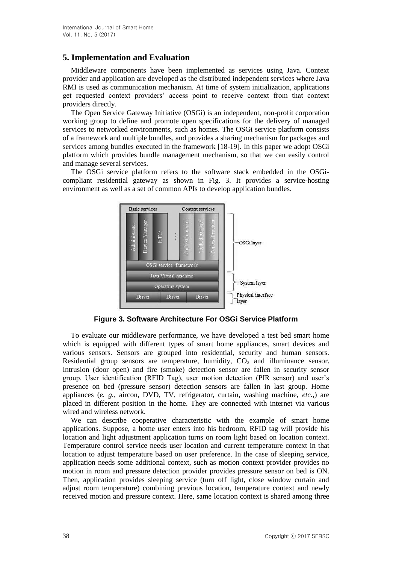# **5. Implementation and Evaluation**

Middleware components have been implemented as services using Java. Context provider and application are developed as the distributed independent services where Java RMI is used as communication mechanism. At time of system initialization, applications get requested context providers' access point to receive context from that context providers directly.

The Open Service Gateway Initiative (OSGi) is an independent, non-profit corporation working group to define and promote open specifications for the delivery of managed services to networked environments, such as homes. The OSGi service platform consists of a framework and multiple bundles, and provides a sharing mechanism for packages and services among bundles executed in the framework [18-19]. In this paper we adopt OSGi platform which provides bundle management mechanism, so that we can easily control and manage several services.

The OSGi service platform refers to the software stack embedded in the OSGicompliant residential gateway as shown in Fig. 3. It provides a service-hosting environment as well as a set of common APIs to develop application bundles.



**Figure 3. Software Architecture For OSGi Service Platform**

To evaluate our middleware performance, we have developed a test bed smart home which is equipped with different types of smart home appliances, smart devices and various sensors. Sensors are grouped into residential, security and human sensors. Residential group sensors are temperature, humidity,  $CO<sub>2</sub>$  and illuminance sensor. Intrusion (door open) and fire (smoke) detection sensor are fallen in security sensor group. User identification (RFID Tag), user motion detection (PIR sensor) and user's presence on bed (pressure sensor) detection sensors are fallen in last group. Home appliances (*e. g.*, aircon, DVD, TV, refrigerator, curtain, washing machine, *etc.*,) are placed in different position in the home. They are connected with internet via various wired and wireless network.

We can describe cooperative characteristic with the example of smart home applications. Suppose, a home user enters into his bedroom, RFID tag will provide his location and light adjustment application turns on room light based on location context. Temperature control service needs user location and current temperature context in that location to adjust temperature based on user preference. In the case of sleeping service, application needs some additional context, such as motion context provider provides no motion in room and pressure detection provider provides pressure sensor on bed is ON. Then, application provides sleeping service (turn off light, close window curtain and adjust room temperature) combining previous location, temperature context and newly received motion and pressure context. Here, same location context is shared among three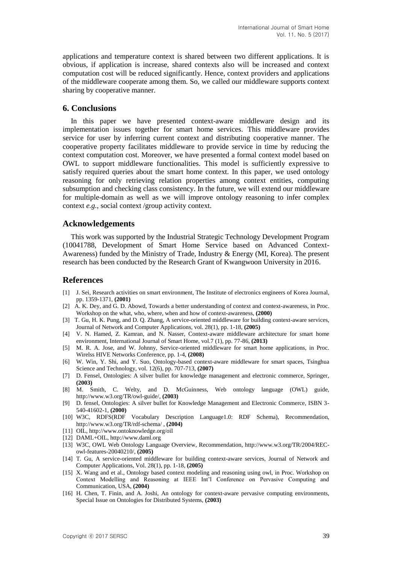applications and temperature context is shared between two different applications. It is obvious, if application is increase, shared contexts also will be increased and context computation cost will be reduced significantly. Hence, context providers and applications of the middleware cooperate among them. So, we called our middleware supports context sharing by cooperative manner.

### **6. Conclusions**

In this paper we have presented context-aware middleware design and its implementation issues together for smart home services. This middleware provides service for user by inferring current context and distributing cooperative manner. The cooperative property facilitates middleware to provide service in time by reducing the context computation cost. Moreover, we have presented a formal context model based on OWL to support middleware functionalities. This model is sufficiently expressive to satisfy required queries about the smart home context. In this paper, we used ontology reasoning for only retrieving relation properties among context entities, computing subsumption and checking class consistency. In the future, we will extend our middleware for multiple-domain as well as we will improve ontology reasoning to infer complex context *e.g.*, social context /group activity context.

#### **Acknowledgements**

This work was supported by the Industrial Strategic Technology Development Program (10041788, Development of Smart Home Service based on Advanced Context-Awareness) funded by the Ministry of Trade, Industry & Energy (MI, Korea). The present research has been conducted by the Research Grant of Kwangwoon University in 2016.

#### **References**

- [1] J. Sei, Research activities on smart environment, The Institute of electronics engineers of Korea Journal, pp. 1359-1371, **(2001)**
- [2] A. K. Dey, and G. D. Abowd, Towards a better understanding of context and context-awareness, in Proc. Workshop on the what, who, where, when and how of context-awareness, **(2000)**
- [3] T. Gu, H. K. Pung, and D. O. Zhang, A service-oriented middleware for building context-aware services, Journal of Network and Computer Applications, vol. 28(1), pp. 1-18, **(2005)**
- [4] V. N. Hamed, Z. Kamran, and N. Nasser, Context-aware middleware architecture for smart home environment, International Journal of Smart Home, vol.7 (1), pp. 77-86, **(2013)**
- [5] M. R. A. Jose, and W. Johnny, Service-oriented middleware for smart home applications, in Proc. Wirelss HIVE Networks Conference, pp. 1-4, **(2008)**
- [6] W. Win, Y. Shi, and Y. Suo, Ontology-based context-aware middleware for smart spaces, Tsinghua Science and Technology, vol. 12(6), pp. 707-713, **(2007)**
- [7] D. Fensel, Ontologies: A silver bullet for knowledge management and electronic commerce, Springer, **(2003)**
- [8] M. Smith, C. Welty, and D. McGuinness, Web ontology language (OWL) guide, http://www.w3.org/TR/owl-guide/, **(2003)**
- [9] D. fensel, Ontologies: A silver bullet for Knowledge Management and Electronic Commerce, ISBN 3- 540-41602-1, **(2000)**
- [10] W3C, RDFS(RDF Vocabulary Description Language1.0: RDF Schema), Recommendation, http://www.w3.org/TR/rdf-schema/ , **(2004)**
- [11] OIL, http://www.ontoknowledge.org/oil
- [12] DAML+OIL, http://www.daml.org
- [13] W3C, OWL Web Ontology Language Overview, Recommendation, http://www.w3.org/TR/2004/RECowl-features-20040210/, **(2005)**
- [14] T. Gu, A service-oriented middleware for building context-aware services, Journal of Network and Computer Applications, Vol. 28(1), pp. 1-18, **(2005)**
- [15] X. Wang and et al., Ontology based context modeling and reasoning using owl, in Proc. Workshop on Context Modelling and Reasoning at IEEE Int'l Conference on Pervasive Computing and Communication, USA, **(2004)**
- [16] H. Chen, T. Finin, and A. Joshi, An ontology for context-aware pervasive computing environments, Special Issue on Ontologies for Distributed Systems, **(2003)**